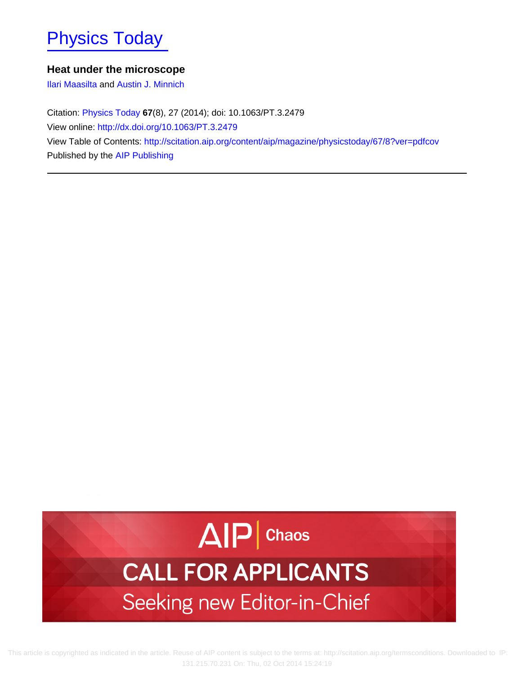# [Physics Today](http://scitation.aip.org/content/aip/magazine/physicstoday?ver=pdfcov)

## **Heat under the microscope**

[Ilari Maasilta](http://scitation.aip.org/search?value1=Ilari+Maasilta&option1=author) and [Austin J. Minnich](http://scitation.aip.org/search?value1=Austin+J.+Minnich&option1=author)

Citation: [Physics Today](http://scitation.aip.org/content/aip/magazine/physicstoday?ver=pdfcov) **67**(8), 27 (2014); doi: 10.1063/PT.3.2479 View online:<http://dx.doi.org/10.1063/PT.3.2479> View Table of Contents: <http://scitation.aip.org/content/aip/magazine/physicstoday/67/8?ver=pdfcov> Published by the [AIP Publishing](http://scitation.aip.org/content/aip?ver=pdfcov)



 This a[rticle is copyrighted as indicated in the article. Reuse of AIP content is subject to the terms at: http://scitation.aip.org/termsconditions. Downlo](http://oasc12039.247realmedia.com/RealMedia/ads/click_lx.ads/www.aip.org/pt/adcenter/pdfcover_test/L-37/1640435921/x01/AIP-PT/PT_ArticleDL_100114/AIP-2293_Chaos_Call_for_EIC_1640x440.jpg/47344656396c504a5a37344142416b75?x)aded to IP: 131.215.70.231 On: Thu, 02 Oct 2014 15:24:19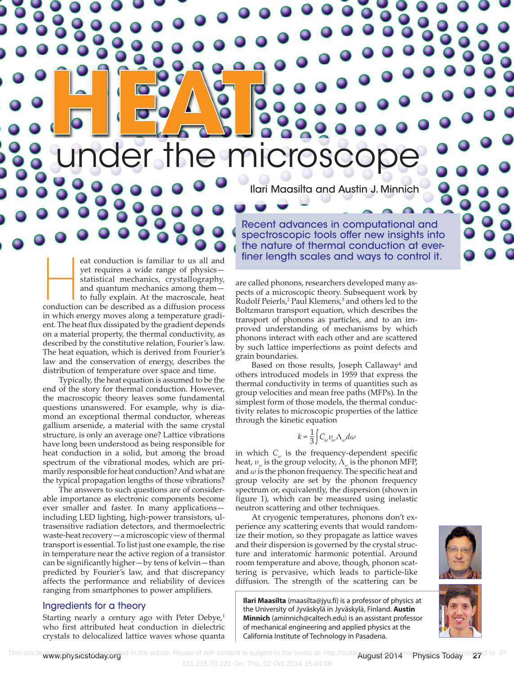Ilari Maasilta and Austin J. Minnich

under the microscope

eat conduction is familiar to us all and<br>yet requires a wide range of physics—<br>statistical mechanics, crystallography,<br>and quantum mechanics among them—<br>to fully explain. At the macroscale, heat yet requires a wide range of physics statistical mechanics, crystallography, and quantum mechanics among them to fully explain. At the macroscale, heat conduction can be described as a diffusion process in which energy moves along a temperature gradient. The heat flux dissipated by the gradient depends on a material property, the thermal conductivity, as described by the constitutive relation, Fourier's law. The heat equation, which is derived from Fourier's law and the conservation of energy, describes the distribution of temperature over space and time.

Typically, the heat equation is assumed to be the end of the story for thermal conduction. However, the macroscopic theory leaves some fundamental questions unanswered. For example, why is diamond an exceptional thermal conductor, whereas gallium arsenide, a material with the same crystal structure, is only an average one? Lattice vibrations have long been understood as being responsible for heat conduction in a solid, but among the broad spectrum of the vibrational modes, which are primarily responsible for heat conduction? And what are the typical propagation lengths of those vibrations?

The answers to such questions are of considerable importance as electronic components become ever smaller and faster. In many applications including LED lighting, high-power transistors, ultrasensitive radiation detectors, and thermoelectric waste-heat recovery—a microscopic view of thermal transport is essential. To list just one example, the rise in temperature near the active region of a transistor can be significantly higher—by tens of kelvin—than predicted by Fourier's law, and that discrepancy affects the performance and reliability of devices ranging from smartphones to power amplifiers.

### Ingredients for a theory

Starting nearly a century ago with Peter Debye,<sup>1</sup> who first attributed heat conduction in dielectric crystals to delocalized lattice waves whose quanta

Recent advances in computational and spectroscopic tools offer new insights into the nature of thermal conduction at everfiner length scales and ways to control it.

are called phonons, researchers developed many aspects of a microscopic theory. Subsequent work by Rudolf Peierls,<sup>2</sup> Paul Klemens,<sup>3</sup> and others led to the Boltzmann transport equation, which describes the transport of phonons as particles, and to an improved understanding of mechanisms by which phonons interact with each other and are scattered by such lattice imperfections as point defects and grain boundaries.

Based on those results, Joseph Callaway<sup>4</sup> and others introduced models in 1959 that express the thermal conductivity in terms of quantities such as group velocities and mean free paths (MFPs). In the simplest form of those models, the thermal conductivity relates to microscopic properties of the lattice through the kinetic equation

$$
k = \frac{1}{3} \int C_{\omega} v_{\omega} \Lambda_{\omega} d\omega
$$

in which  $C_{\omega}$  is the frequency-dependent specific heat, *υω* is the group velocity, Λ*<sup>ω</sup>* is the phonon MFP, and *ω* is the phonon frequency. The specific heat and group velocity are set by the phonon frequency spectrum or, equivalently, the dispersion (shown in figure 1), which can be measured using inelastic neutron scattering and other techniques.

At cryogenic temperatures, phonons don't experience any scattering events that would randomize their motion, so they propagate as lattice waves and their dispersion is governed by the crystal structure and interatomic harmonic potential. Around room temperature and above, though, phonon scattering is pervasive, which leads to particle-like diffusion. The strength of the scattering can be

**Ilari Maasilta** (maasilta@jyu.fi) is a professor of physics at the University of Jyväskylä in Jyväskylä, Finland. **Austin Minnich** (aminnich@caltech.edu) is an assistant professor of mechanical engineering and applied physics at the California Institute of Technology in Pasadena.



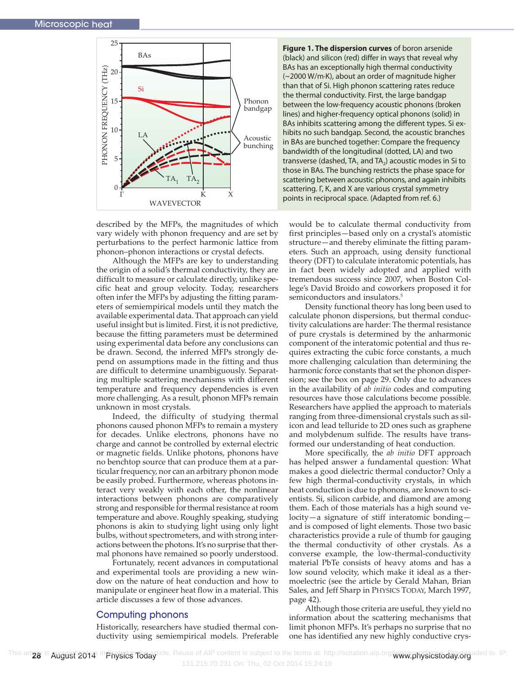

described by the MFPs, the magnitudes of which vary widely with phonon frequency and are set by perturbations to the perfect harmonic lattice from phonon–phonon interactions or crystal defects.

Although the MFPs are key to understanding the origin of a solid's thermal conductivity, they are difficult to measure or calculate directly, unlike specific heat and group velocity. Today, researchers often infer the MFPs by adjusting the fitting parameters of semiempirical models until they match the available experimental data. That approach can yield useful insight but is limited. First, it is not predictive, because the fitting parameters must be determined using experimental data before any conclusions can be drawn. Second, the inferred MFPs strongly depend on assumptions made in the fitting and thus are difficult to determine unambiguously. Separating multiple scattering mechanisms with different temperature and frequency dependencies is even more challenging. As a result, phonon MFPs remain unknown in most crystals.

Indeed, the difficulty of studying thermal phonons caused phonon MFPs to remain a mystery for decades. Unlike electrons, phonons have no charge and cannot be controlled by external electric or magnetic fields. Unlike photons, phonons have no benchtop source that can produce them at a particular frequency, nor can an arbitrary phonon mode be easily probed. Furthermore, whereas photons interact very weakly with each other, the nonlinear interactions between phonons are comparatively strong and responsible for thermal resistance at room temperature and above. Roughly speaking, studying phonons is akin to studying light using only light bulbs, without spectrometers, and with strong interactions between the photons. It's no surprise that thermal phonons have remained so poorly understood.

Fortunately, recent advances in computational and experimental tools are providing a new window on the nature of heat conduction and how to manipulate or engineer heat flow in a material. This article discusses a few of those advances.

#### Computing phonons

Historically, researchers have studied thermal conductivity using semiempirical models. Preferable

**Figure 1. The dispersion curves** of boron arsenide (black) and silicon (red) differ in ways that reveal why BAs has an exceptionally high thermal conductivity (~2000 W/m·K), about an order of magnitude higher than that of Si. High phonon scattering rates reduce the thermal conductivity. First, the large bandgap between the low-frequency acoustic phonons (broken lines) and higher-frequency optical phonons (solid) in BAs inhibits scattering among the different types. Si exhibits no such bandgap. Second, the acoustic branches in BAs are bunched together: Compare the frequency bandwidth of the longitudinal (dotted, LA) and two transverse (dashed, TA<sub>1</sub> and TA<sub>2</sub>) acoustic modes in Si to those in BAs. The bunching restricts the phase space for scattering between acoustic phonons, and again inhibits scattering. Γ, K, and X are various crystal symmetry

would be to calculate thermal conductivity from first principles—based only on a crystal's atomistic structure—and thereby eliminate the fitting parameters. Such an approach, using density functional theory (DFT) to calculate interatomic potentials, has in fact been widely adopted and applied with tremendous success since 2007, when Boston College's David Broido and coworkers proposed it for semiconductors and insulators.<sup>5</sup>

Density functional theory has long been used to calculate phonon dispersions, but thermal conductivity calculations are harder: The thermal resistance of pure crystals is determined by the anharmonic component of the interatomic potential and thus requires extracting the cubic force constants, a much more challenging calculation than determining the harmonic force constants that set the phonon dispersion; see the box on page 29. Only due to advances in the availability of *ab initio* codes and computing resources have those calculations become possible. Researchers have applied the approach to materials ranging from three-dimensional crystals such as silicon and lead telluride to 2D ones such as graphene and molybdenum sulfide. The results have transformed our understanding of heat conduction.

More specifically, the *ab initio* DFT approach has helped answer a fundamental question: What makes a good dielectric thermal conductor? Only a few high thermal-conductivity crystals, in which heat conduction is due to phonons, are known to scientists. Si, silicon carbide, and diamond are among them. Each of those materials has a high sound velocity—a signature of stiff interatomic bonding and is composed of light elements. Those two basic characteristics provide a rule of thumb for gauging the thermal conductivity of other crystals. As a converse example, the low-thermal-conductivity material PbTe consists of heavy atoms and has a low sound velocity, which make it ideal as a thermoelectric (see the article by Gerald Mahan, Brian Sales, and Jeff Sharp in PHYSICS TODAY, March 1997, page 42).

Although those criteria are useful, they yield no information about the scattering mechanisms that limit phonon MFPs. It's perhaps no surprise that no one has identified any new highly conductive crys-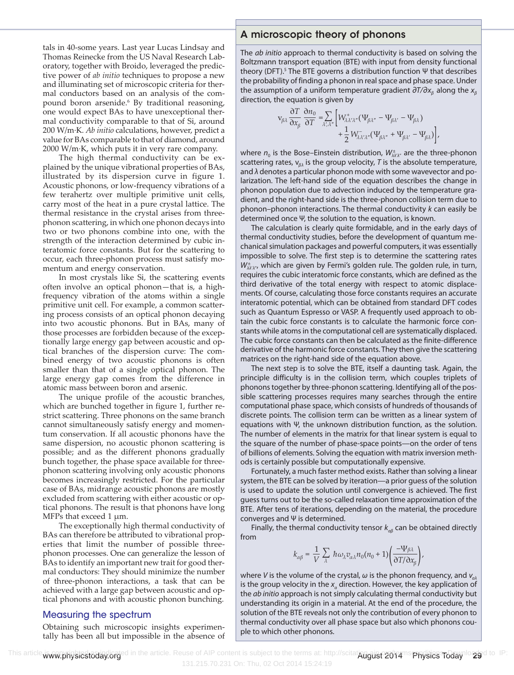tals in 40-some years. Last year Lucas Lindsay and Thomas Reinecke from the US Naval Research Laboratory, together with Broido, leveraged the predictive power of *ab initio* techniques to propose a new and illuminating set of microscopic criteria for thermal conductors based on an analysis of the compound boron arsenide.6 By traditional reasoning, one would expect BAs to have unexceptional thermal conductivity comparable to that of Si, around 200 W/m·K. *Ab initio* calculations, however, predict a value for BAs comparable to that of diamond, around 2000 W/m·K, which puts it in very rare company.

The high thermal conductivity can be explained by the unique vibrational properties of BAs, illustrated by its dispersion curve in figure 1. Acoustic phonons, or low-frequency vibrations of a few terahertz over multiple primitive unit cells, carry most of the heat in a pure crystal lattice. The thermal resistance in the crystal arises from three phonon scattering, in which one phonon decays into two or two phonons combine into one, with the strength of the interaction determined by cubic interatomic force constants. But for the scattering to occur, each three- phonon process must satisfy momentum and energy conservation.

In most crystals like Si, the scattering events often involve an optical phonon—that is, a highfrequency vibration of the atoms within a single primitive unit cell. For example, a common scattering process consists of an optical phonon decaying into two acoustic phonons. But in BAs, many of those processes are forbidden because of the exceptionally large energy gap between acoustic and optical branches of the dispersion curve: The combined energy of two acoustic phonons is often smaller than that of a single optical phonon. The large energy gap comes from the difference in atomic mass between boron and arsenic.

The unique profile of the acoustic branches, which are bunched together in figure 1, further restrict scattering. Three phonons on the same branch cannot simultaneously satisfy energy and momentum conservation. If all acoustic phonons have the same dispersion, no acoustic phonon scattering is possible; and as the different phonons gradually bunch together, the phase space available for three phonon scattering involving only acoustic phonons becomes increasingly restricted. For the particular case of BAs, midrange acoustic phonons are mostly excluded from scattering with either acoustic or optical phonons. The result is that phonons have long MFPs that exceed 1 μm.

The exceptionally high thermal conductivity of BAs can therefore be attributed to vibrational properties that limit the number of possible three phonon processes. One can generalize the lesson of BAs to identify an important new trait for good thermal conductors: They should minimize the number of three-phonon interactions, a task that can be achieved with a large gap between acoustic and optical phonons and with acoustic phonon bunching.

#### Measuring the spectrum

Obtaining such microscopic insights experimentally has been all but impossible in the absence of

#### A microscopic theory of phonons

The *ab initio* approach to thermal conductivity is based on solving the Boltzmann transport equation (BTE) with input from density functional theory (DFT).<sup>5</sup> The BTE governs a distribution function Ψ that describes the probability of finding a phonon in real space and phase space. Under the assumption of a uniform temperature gradient *∂T/∂x*<sub>β</sub> along the *x*<sub>β</sub> direction*,* the equation is given by

$$
\begin{split} \textbf{v}_{\beta\lambda} \frac{\partial T}{\partial x_\beta} \frac{\partial n_0}{\partial T} = & \sum_{\lambda',\lambda''}\Big[ W_{\lambda\lambda'\lambda''}^+(\Psi_{\beta\lambda''}-\Psi_{\beta\lambda'}-\Psi_{\beta\lambda}) \\ & +\frac{1}{2} \, W_{\lambda\lambda'\lambda''}^-(\Psi_{\beta\lambda''}+\Psi_{\beta\lambda'}-\Psi_{\beta\lambda}) \Big] \, , \end{split}
$$

where  $n_{\text{o}}$  is the Bose–Einstein distribution,  $W_{\lambda\lambda\lambda'}^{\pm}$  are the three-phonon scattering rates, v*β λ* is the group velocity, *T* is the absolute temperature, and *λ* denotes a particular phonon mode with some wavevector and polarization. The left-hand side of the equation describes the change in phonon population due to advection induced by the temperature gradient, and the right-hand side is the three- phonon collision term due to phonon–phonon interactions. The thermal conductivity *k* can easily be determined once Ψ, the solution to the equation, is known.

The calculation is clearly quite formidable, and in the early days of thermal conductivity studies, before the development of quantum mechanical simulation packages and powerful computers, it was essentially impossible to solve. The first step is to determine the scattering rates *W*<sup>±</sup> *λλ*′*λ*″ , which are given by Fermi's golden rule. The golden rule, in turn, requires the cubic interatomic force constants, which are defined as the third derivative of the total energy with respect to atomic displacements. Of course, calculating those force constants requires an accurate interatomic potential, which can be obtained from standard DFT codes such as Quantum Espresso or VASP. A frequently used approach to obtain the cubic force constants is to calculate the harmonic force constants while atoms in the computational cell are systematically displaced. The cubic force constants can then be calculated as the finite-difference derivative of the harmonic force constants. They then give the scattering matrices on the right-hand side of the equation above.

The next step is to solve the BTE, itself a daunting task. Again, the principle difficulty is in the collision term, which couples triplets of phonons together by three- phonon scattering. Identifying all of the possible scattering processes requires many searches through the entire computational phase space, which consists of hundreds of thousands of discrete points. The collision term can be written as a linear system of equations with Ψ, the unknown distribution function, as the solution. The number of elements in the matrix for that linear system is equal to the square of the number of phase-space points—on the order of tens of billions of elements. Solving the equation with matrix inversion methods is certainly possible but computationally expensive.

Fortunately, a much faster method exists. Rather than solving a linear system, the BTE can be solved by iteration—a prior guess of the solution is used to update the solution until convergence is achieved. The first guess turns out to be the so-called relaxation time approximation of the BTE. After tens of iterations, depending on the material, the procedure converges and Ψ is determined.

Finally, the thermal conductivity tensor  $k_{\alpha\beta}$  can be obtained directly from

$$
k_{\alpha\beta} = \frac{1}{V} \sum_{\lambda} \hbar \omega_{\lambda} v_{\alpha\lambda} n_0 (n_0 + 1) \left( \frac{-\Psi_{\beta\lambda}}{\partial T / \partial x_{\beta}} \right),
$$

where *V* is the volume of the crystal, *ω* is the phonon frequency, and  $v_{\alpha\lambda}$ is the group velocity in the x<sub>n</sub> direction. However, the key application of the *ab initio* approach is not simply calculating thermal conductivity but understanding its origin in a material. At the end of the procedure, the solution of the BTE reveals not only the contribution of every phonon to thermal conductivity over all phase space but also which phonons couple to which other phonons.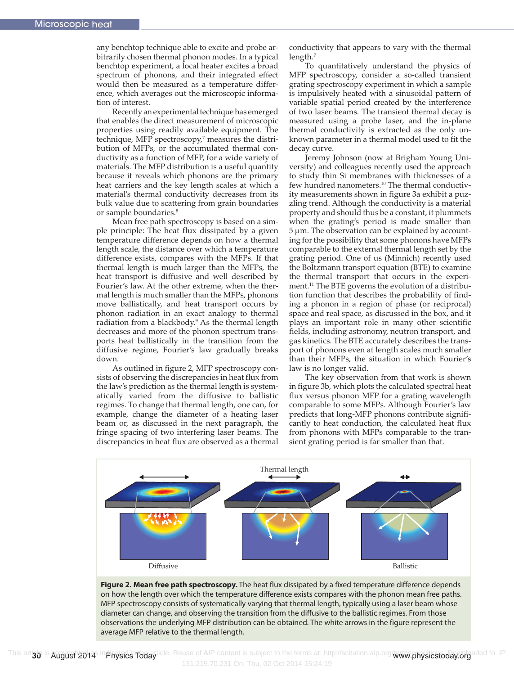any benchtop technique able to excite and probe arbitrarily chosen thermal phonon modes. In a typical benchtop experiment, a local heater excites a broad spectrum of phonons, and their integrated effect would then be measured as a temperature difference, which averages out the microscopic information of interest.

Recently an experimental technique has emerged that enables the direct measurement of microscopic properties using readily available equipment. The technique, MFP spectroscopy,<sup>7</sup> measures the distribution of MFPs, or the accumulated thermal conductivity as a function of MFP, for a wide variety of materials. The MFP distribution is a useful quantity because it reveals which phonons are the primary heat carriers and the key length scales at which a material's thermal conductivity decreases from its bulk value due to scattering from grain boundaries or sample boundaries.<sup>8</sup>

Mean free path spectroscopy is based on a simple principle: The heat flux dissipated by a given temperature difference depends on how a thermal length scale, the distance over which a temperature difference exists, compares with the MFPs. If that thermal length is much larger than the MFPs, the heat transport is diffusive and well described by Fourier's law. At the other extreme, when the thermal length is much smaller than the MFPs, phonons move ballistically, and heat transport occurs by phonon radiation in an exact analogy to thermal radiation from a blackbody.9 As the thermal length decreases and more of the phonon spectrum transports heat ballistically in the transition from the diffusive regime, Fourier's law gradually breaks down.

As outlined in figure 2, MFP spectroscopy consists of observing the discrepancies in heat flux from the law's prediction as the thermal length is systematically varied from the diffusive to ballistic regimes. To change that thermal length, one can, for example, change the diameter of a heating laser beam or, as discussed in the next paragraph, the fringe spacing of two interfering laser beams. The discrepancies in heat flux are observed as a thermal

conductivity that appears to vary with the thermal length.7

To quantitatively understand the physics of MFP spectroscopy, consider a so-called transient grating spectroscopy experiment in which a sample is impulsively heated with a sinusoidal pattern of variable spatial period created by the interference of two laser beams. The transient thermal decay is measured using a probe laser, and the in-plane thermal conductivity is extracted as the only unknown parameter in a thermal model used to fit the decay curve.

Jeremy Johnson (now at Brigham Young University) and colleagues recently used the approach to study thin Si membranes with thicknesses of a few hundred nanometers.<sup>10</sup> The thermal conductivity measurements shown in figure 3a exhibit a puzzling trend. Although the conductivity is a material property and should thus be a constant, it plummets when the grating's period is made smaller than 5 μm. The observation can be explained by accounting for the possibility that some phonons have MFPs comparable to the external thermal length set by the grating period. One of us (Minnich) recently used the Boltzmann transport equation (BTE) to examine the thermal transport that occurs in the experiment.<sup>11</sup> The BTE governs the evolution of a distribution function that describes the probability of finding a phonon in a region of phase (or reciprocal) space and real space, as discussed in the box, and it plays an important role in many other scientific fields, including astronomy, neutron transport, and gas kinetics. The BTE accurately describes the transport of phonons even at length scales much smaller than their MFPs, the situation in which Fourier's law is no longer valid.

The key observation from that work is shown in figure 3b, which plots the calculated spectral heat flux versus phonon MFP for a grating wavelength comparable to some MFPs. Although Fourier's law predicts that long-MFP phonons contribute significantly to heat conduction, the calculated heat flux from phonons with MFPs comparable to the transient grating period is far smaller than that.



**Figure 2. Mean free path spectroscopy.** The heat flux dissipated by a fixed temperature difference depends on how the length over which the temperature difference exists compares with the phonon mean free paths. MFP spectroscopy consists of systematically varying that thermal length, typically using a laser beam whose diameter can change, and observing the transition from the diffusive to the ballistic regimes. From those observations the underlying MFP distribution can be obtained. The white arrows in the figure represent the average MFP relative to the thermal length.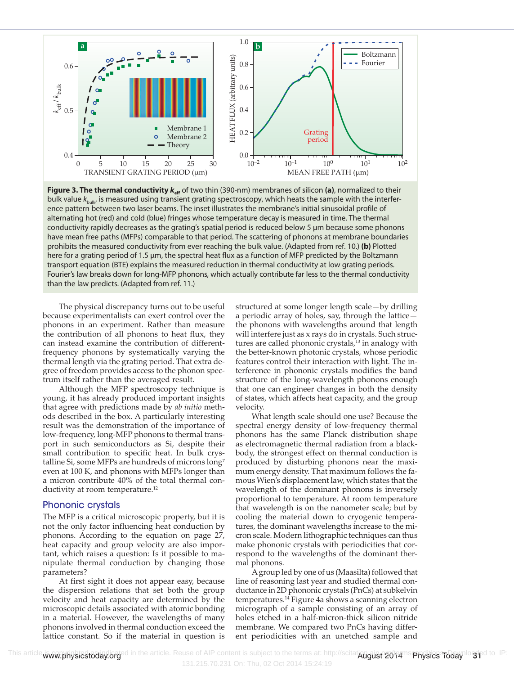

**Figure 3. The thermal conductivity**  $k_{\text{eff}}$  of two thin (390-nm) membranes of silicon (a), normalized to their bulk value *k*bulk, is measured using transient grating spectroscopy, which heats the sample with the interference pattern between two laser beams. The inset illustrates the membrane's initial sinusoidal profile of alternating hot (red) and cold (blue) fringes whose temperature decay is measured in time. The thermal conductivity rapidly decreases as the grating's spatial period is reduced below 5 μm because some phonons have mean free paths (MFPs) comparable to that period. The scattering of phonons at membrane boundaries prohibits the measured conductivity from ever reaching the bulk value. (Adapted from ref. 10.) **(b)** Plotted here for a grating period of 1.5 μm, the spectral heat flux as a function of MFP predicted by the Boltzmann transport equation (BTE) explains the measured reduction in thermal conductivity at low grating periods. Fourier's law breaks down for long-MFP phonons, which actually contribute far less to the thermal conductivity than the law predicts. (Adapted from ref. 11.)

The physical discrepancy turns out to be useful because experimentalists can exert control over the phonons in an experiment. Rather than measure the contribution of all phonons to heat flux, they can instead examine the contribution of differentfrequency phonons by systematically varying the thermal length via the grating period. That extra degree of freedom provides access to the phonon spectrum itself rather than the averaged result.

Although the MFP spectroscopy technique is young, it has already produced important insights that agree with predictions made by *ab initio* methods described in the box. A particularly interesting result was the demonstration of the importance of low-frequency, long-MFP phonons to thermal transport in such semiconductors as Si, despite their small contribution to specific heat. In bulk crystalline Si, some MFPs are hundreds of microns  $\log^7$ even at 100 K, and phonons with MFPs longer than a micron contribute 40% of the total thermal conductivity at room temperature.<sup>12</sup>

#### Phononic crystals

The MFP is a critical microscopic property, but it is not the only factor influencing heat conduction by phonons. According to the equation on page 27, heat capacity and group velocity are also important, which raises a question: Is it possible to manipulate thermal conduction by changing those parameters?

At first sight it does not appear easy, because the dispersion relations that set both the group velocity and heat capacity are determined by the microscopic details associated with atomic bonding in a material. However, the wavelengths of many phonons involved in thermal conduction exceed the lattice constant. So if the material in question is

structured at some longer length scale—by drilling a periodic array of holes, say, through the lattice the phonons with wavelengths around that length will interfere just as x rays do in crystals. Such structures are called phononic crystals,<sup>13</sup> in analogy with the better-known photonic crystals, whose periodic features control their interaction with light. The interference in phononic crystals modifies the band structure of the long-wavelength phonons enough that one can engineer changes in both the density of states, which affects heat capacity, and the group velocity.

What length scale should one use? Because the spectral energy density of low-frequency thermal phonons has the same Planck distribution shape as electromagnetic thermal radiation from a blackbody, the strongest effect on thermal conduction is produced by disturbing phonons near the maximum energy density. That maximum follows the famous Wien's displacement law, which states that the wavelength of the dominant phonons is inversely proportional to temperature. At room temperature that wavelength is on the nanometer scale; but by cooling the material down to cryogenic temperatures, the dominant wavelengths increase to the micron scale. Modern lithographic techniques can thus make phononic crystals with periodicities that correspond to the wavelengths of the dominant thermal phonons.

A group led by one of us (Maasilta) followed that line of reasoning last year and studied thermal conductance in 2D phononic crystals (PnCs) at subkelvin temperatures.<sup>14</sup> Figure 4a shows a scanning electron micrograph of a sample consisting of an array of holes etched in a half-micron-thick silicon nitride membrane. We compared two PnCs having different periodicities with an unetched sample and